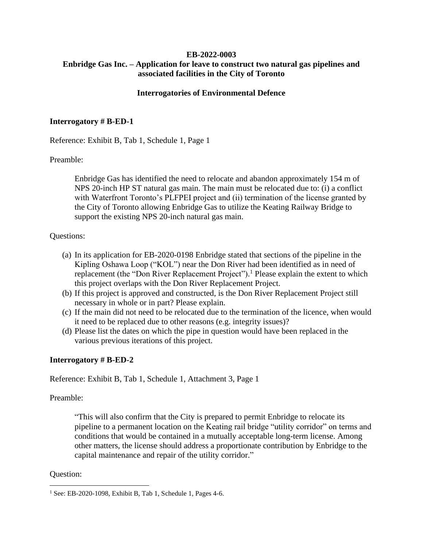# **EB-2022-0003 Enbridge Gas Inc. – Application for leave to construct two natural gas pipelines and associated facilities in the City of Toronto**

## **Interrogatories of Environmental Defence**

## **Interrogatory # B-ED-1**

Reference: Exhibit B, Tab 1, Schedule 1, Page 1

## Preamble:

Enbridge Gas has identified the need to relocate and abandon approximately 154 m of NPS 20-inch HP ST natural gas main. The main must be relocated due to: (i) a conflict with Waterfront Toronto's PLFPEI project and (ii) termination of the license granted by the City of Toronto allowing Enbridge Gas to utilize the Keating Railway Bridge to support the existing NPS 20-inch natural gas main.

## Questions:

- (a) In its application for EB-2020-0198 Enbridge stated that sections of the pipeline in the Kipling Oshawa Loop ("KOL") near the Don River had been identified as in need of replacement (the "Don River Replacement Project").<sup>1</sup> Please explain the extent to which this project overlaps with the Don River Replacement Project.
- (b) If this project is approved and constructed, is the Don River Replacement Project still necessary in whole or in part? Please explain.
- (c) If the main did not need to be relocated due to the termination of the licence, when would it need to be replaced due to other reasons (e.g. integrity issues)?
- (d) Please list the dates on which the pipe in question would have been replaced in the various previous iterations of this project.

#### **Interrogatory # B-ED-2**

Reference: Exhibit B, Tab 1, Schedule 1, Attachment 3, Page 1

Preamble:

"This will also confirm that the City is prepared to permit Enbridge to relocate its pipeline to a permanent location on the Keating rail bridge "utility corridor" on terms and conditions that would be contained in a mutually acceptable long-term license. Among other matters, the license should address a proportionate contribution by Enbridge to the capital maintenance and repair of the utility corridor."

#### Question:

<sup>&</sup>lt;sup>1</sup> See: EB-2020-1098, Exhibit B, Tab 1, Schedule 1, Pages 4-6.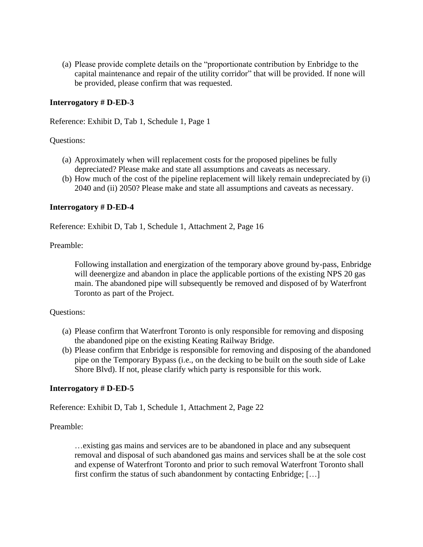(a) Please provide complete details on the "proportionate contribution by Enbridge to the capital maintenance and repair of the utility corridor" that will be provided. If none will be provided, please confirm that was requested.

# **Interrogatory # D-ED-3**

Reference: Exhibit D, Tab 1, Schedule 1, Page 1

## Questions:

- (a) Approximately when will replacement costs for the proposed pipelines be fully depreciated? Please make and state all assumptions and caveats as necessary.
- (b) How much of the cost of the pipeline replacement will likely remain undepreciated by (i) 2040 and (ii) 2050? Please make and state all assumptions and caveats as necessary.

## **Interrogatory # D-ED-4**

Reference: Exhibit D, Tab 1, Schedule 1, Attachment 2, Page 16

Preamble:

Following installation and energization of the temporary above ground by-pass, Enbridge will deenergize and abandon in place the applicable portions of the existing NPS 20 gas main. The abandoned pipe will subsequently be removed and disposed of by Waterfront Toronto as part of the Project.

#### Questions:

- (a) Please confirm that Waterfront Toronto is only responsible for removing and disposing the abandoned pipe on the existing Keating Railway Bridge.
- (b) Please confirm that Enbridge is responsible for removing and disposing of the abandoned pipe on the Temporary Bypass (i.e., on the decking to be built on the south side of Lake Shore Blvd). If not, please clarify which party is responsible for this work.

#### **Interrogatory # D-ED-5**

Reference: Exhibit D, Tab 1, Schedule 1, Attachment 2, Page 22

Preamble:

…existing gas mains and services are to be abandoned in place and any subsequent removal and disposal of such abandoned gas mains and services shall be at the sole cost and expense of Waterfront Toronto and prior to such removal Waterfront Toronto shall first confirm the status of such abandonment by contacting Enbridge; […]